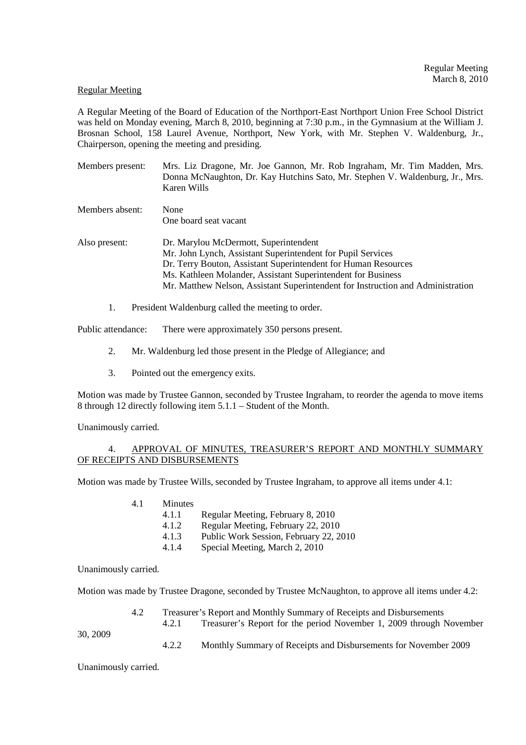### Regular Meeting

A Regular Meeting of the Board of Education of the Northport-East Northport Union Free School District was held on Monday evening, March 8, 2010, beginning at 7:30 p.m., in the Gymnasium at the William J. Brosnan School, 158 Laurel Avenue, Northport, New York, with Mr. Stephen V. Waldenburg, Jr., Chairperson, opening the meeting and presiding.

- Members present: Mrs. Liz Dragone, Mr. Joe Gannon, Mr. Rob Ingraham, Mr. Tim Madden, Mrs. Donna McNaughton, Dr. Kay Hutchins Sato, Mr. Stephen V. Waldenburg, Jr., Mrs. Karen Wills
- Members absent: None One board seat vacant Also present: Dr. Marylou McDermott, Superintendent Mr. John Lynch, Assistant Superintendent for Pupil Services Dr. Terry Bouton, Assistant Superintendent for Human Resources Ms. Kathleen Molander, Assistant Superintendent for Business Mr. Matthew Nelson, Assistant Superintendent for Instruction and Administration
	- 1. President Waldenburg called the meeting to order.

Public attendance: There were approximately 350 persons present.

- 2. Mr. Waldenburg led those present in the Pledge of Allegiance; and
- 3. Pointed out the emergency exits.

Motion was made by Trustee Gannon, seconded by Trustee Ingraham, to reorder the agenda to move items 8 through 12 directly following item 5.1.1 – Student of the Month.

Unanimously carried.

## 4. APPROVAL OF MINUTES, TREASURER'S REPORT AND MONTHLY SUMMARY OF RECEIPTS AND DISBURSEMENTS

Motion was made by Trustee Wills, seconded by Trustee Ingraham, to approve all items under 4.1:

- 4.1 Minutes
	- 4.1.1 Regular Meeting, February 8, 2010
		- 4.1.2 Regular Meeting, February 22, 2010
	- 4.1.3 Public Work Session, February 22, 2010
	- 4.1.4 Special Meeting, March 2, 2010

Unanimously carried.

Motion was made by Trustee Dragone, seconded by Trustee McNaughton, to approve all items under 4.2:

 4.2 Treasurer's Report and Monthly Summary of Receipts and Disbursements 4.2.1 Treasurer's Report for the period November 1, 2009 through November

30, 2009

4.2.2 Monthly Summary of Receipts and Disbursements for November 2009

Unanimously carried.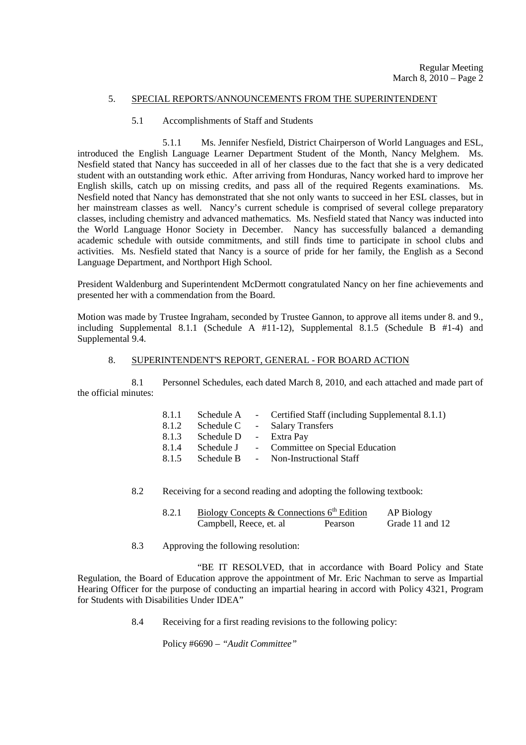## 5. SPECIAL REPORTS/ANNOUNCEMENTS FROM THE SUPERINTENDENT

### 5.1 Accomplishments of Staff and Students

 5.1.1 Ms. Jennifer Nesfield, District Chairperson of World Languages and ESL, introduced the English Language Learner Department Student of the Month, Nancy Melghem. Ms. Nesfield stated that Nancy has succeeded in all of her classes due to the fact that she is a very dedicated student with an outstanding work ethic. After arriving from Honduras, Nancy worked hard to improve her English skills, catch up on missing credits, and pass all of the required Regents examinations. Ms. Nesfield noted that Nancy has demonstrated that she not only wants to succeed in her ESL classes, but in her mainstream classes as well. Nancy's current schedule is comprised of several college preparatory classes, including chemistry and advanced mathematics. Ms. Nesfield stated that Nancy was inducted into the World Language Honor Society in December. Nancy has successfully balanced a demanding academic schedule with outside commitments, and still finds time to participate in school clubs and activities. Ms. Nesfield stated that Nancy is a source of pride for her family, the English as a Second Language Department, and Northport High School.

President Waldenburg and Superintendent McDermott congratulated Nancy on her fine achievements and presented her with a commendation from the Board.

Motion was made by Trustee Ingraham, seconded by Trustee Gannon, to approve all items under 8. and 9., including Supplemental 8.1.1 (Schedule A #11-12), Supplemental 8.1.5 (Schedule B #1-4) and Supplemental 9.4.

### 8. SUPERINTENDENT'S REPORT, GENERAL - FOR BOARD ACTION

 8.1 Personnel Schedules, each dated March 8, 2010, and each attached and made part of the official minutes:

| 8.1.1 | Schedule A             | - Certified Staff (including Supplemental 8.1.1) |
|-------|------------------------|--------------------------------------------------|
| 8.1.2 | Schedule C             | - Salary Transfers                               |
| 8.1.3 | Schedule D - Extra Pay |                                                  |
| 8.1.4 | Schedule J             | - Committee on Special Education                 |
| 8.1.5 | Schedule B             | - Non-Instructional Staff                        |
|       |                        |                                                  |

8.2 Receiving for a second reading and adopting the following textbook:

| Biology Concepts & Connections $6th$ Edition | AP Biology |                 |
|----------------------------------------------|------------|-----------------|
| Campbell, Reece, et. al                      | Pearson    | Grade 11 and 12 |

8.3 Approving the following resolution:

 "BE IT RESOLVED, that in accordance with Board Policy and State Regulation, the Board of Education approve the appointment of Mr. Eric Nachman to serve as Impartial Hearing Officer for the purpose of conducting an impartial hearing in accord with Policy 4321, Program for Students with Disabilities Under IDEA"

8.4 Receiving for a first reading revisions to the following policy:

Policy #6690 – *"Audit Committee"*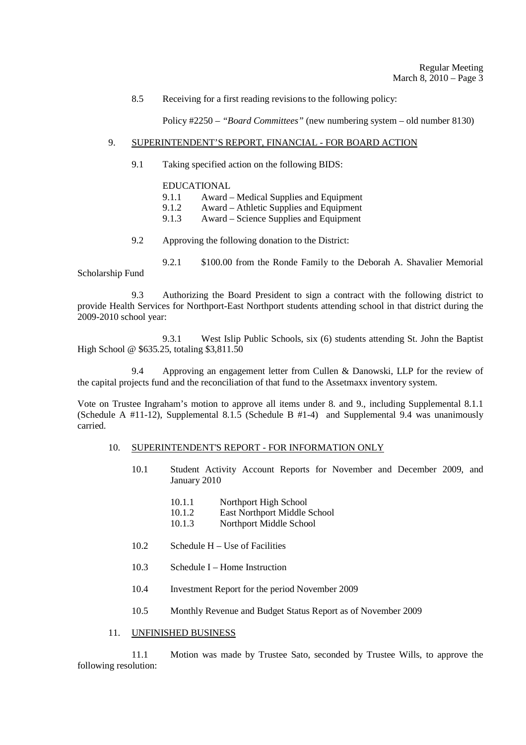8.5 Receiving for a first reading revisions to the following policy:

Policy #2250 – *"Board Committees"* (new numbering system – old number 8130)

### 9. SUPERINTENDENT'S REPORT, FINANCIAL - FOR BOARD ACTION

9.1 Taking specified action on the following BIDS:

# EDUCATIONAL

- 9.1.1 Award Medical Supplies and Equipment<br>9.1.2 Award Athletic Supplies and Equipment
- 9.1.2 Award Athletic Supplies and Equipment<br>9.1.3 Award Science Supplies and Equipment
- 9.1.3 Award Science Supplies and Equipment
- 9.2 Approving the following donation to the District:
- 9.2.1 \$100.00 from the Ronde Family to the Deborah A. Shavalier Memorial Scholarship Fund

 9.3 Authorizing the Board President to sign a contract with the following district to provide Health Services for Northport-East Northport students attending school in that district during the 2009-2010 school year:

 9.3.1 West Islip Public Schools, six (6) students attending St. John the Baptist High School @ \$635.25, totaling \$3,811.50

 9.4 Approving an engagement letter from Cullen & Danowski, LLP for the review of the capital projects fund and the reconciliation of that fund to the Assetmaxx inventory system.

Vote on Trustee Ingraham's motion to approve all items under 8. and 9., including Supplemental 8.1.1 (Schedule A #11-12), Supplemental 8.1.5 (Schedule B #1-4) and Supplemental 9.4 was unanimously carried.

### 10. SUPERINTENDENT'S REPORT - FOR INFORMATION ONLY

- 10.1 Student Activity Account Reports for November and December 2009, and January 2010
	- 10.1.1 Northport High School
	- 10.1.2 East Northport Middle School
	- 10.1.3 Northport Middle School
- 10.2 Schedule H Use of Facilities
- 10.3 Schedule I Home Instruction
- 10.4 Investment Report for the period November 2009
- 10.5 Monthly Revenue and Budget Status Report as of November 2009

## 11. UNFINISHED BUSINESS

 11.1 Motion was made by Trustee Sato, seconded by Trustee Wills, to approve the following resolution: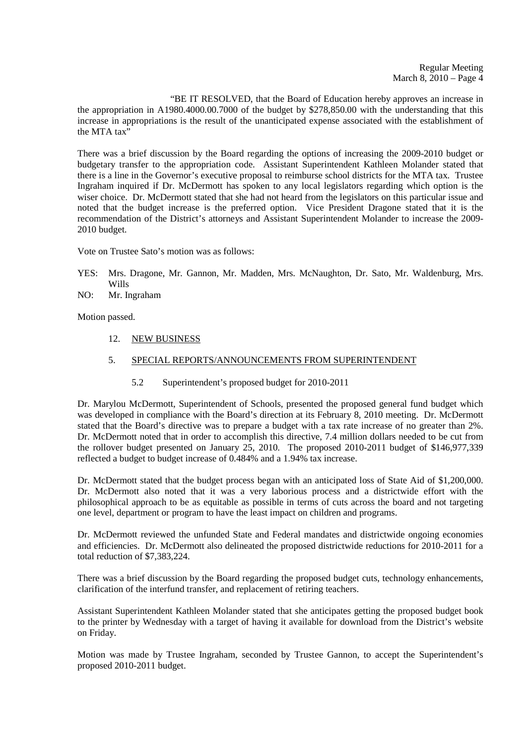"BE IT RESOLVED, that the Board of Education hereby approves an increase in the appropriation in A1980.4000.00.7000 of the budget by \$278,850.00 with the understanding that this increase in appropriations is the result of the unanticipated expense associated with the establishment of the MTA tax $\overline{N}$ 

There was a brief discussion by the Board regarding the options of increasing the 2009-2010 budget or budgetary transfer to the appropriation code. Assistant Superintendent Kathleen Molander stated that there is a line in the Governor's executive proposal to reimburse school districts for the MTA tax. Trustee Ingraham inquired if Dr. McDermott has spoken to any local legislators regarding which option is the wiser choice. Dr. McDermott stated that she had not heard from the legislators on this particular issue and noted that the budget increase is the preferred option. Vice President Dragone stated that it is the recommendation of the District's attorneys and Assistant Superintendent Molander to increase the 2009- 2010 budget.

Vote on Trustee Sato's motion was as follows:

- YES: Mrs. Dragone, Mr. Gannon, Mr. Madden, Mrs. McNaughton, Dr. Sato, Mr. Waldenburg, Mrs. Wills
- NO: Mr. Ingraham

Motion passed.

12. NEW BUSINESS

## 5. SPECIAL REPORTS/ANNOUNCEMENTS FROM SUPERINTENDENT

5.2 Superintendent's proposed budget for 2010-2011

Dr. Marylou McDermott, Superintendent of Schools, presented the proposed general fund budget which was developed in compliance with the Board's direction at its February 8, 2010 meeting. Dr. McDermott stated that the Board's directive was to prepare a budget with a tax rate increase of no greater than 2%. Dr. McDermott noted that in order to accomplish this directive, 7.4 million dollars needed to be cut from the rollover budget presented on January 25, 2010. The proposed 2010-2011 budget of \$146,977,339 reflected a budget to budget increase of 0.484% and a 1.94% tax increase.

Dr. McDermott stated that the budget process began with an anticipated loss of State Aid of \$1,200,000. Dr. McDermott also noted that it was a very laborious process and a districtwide effort with the philosophical approach to be as equitable as possible in terms of cuts across the board and not targeting one level, department or program to have the least impact on children and programs.

Dr. McDermott reviewed the unfunded State and Federal mandates and districtwide ongoing economies and efficiencies. Dr. McDermott also delineated the proposed districtwide reductions for 2010-2011 for a total reduction of \$7,383,224.

There was a brief discussion by the Board regarding the proposed budget cuts, technology enhancements, clarification of the interfund transfer, and replacement of retiring teachers.

Assistant Superintendent Kathleen Molander stated that she anticipates getting the proposed budget book to the printer by Wednesday with a target of having it available for download from the District's website on Friday.

Motion was made by Trustee Ingraham, seconded by Trustee Gannon, to accept the Superintendent's proposed 2010-2011 budget.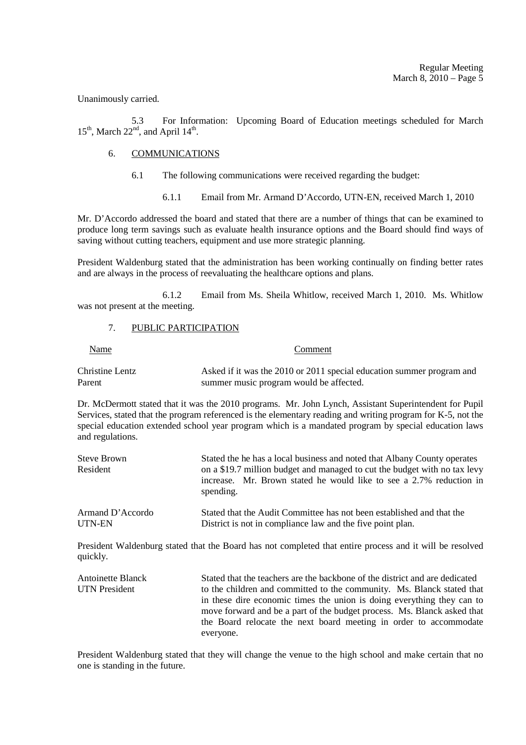Unanimously carried.

 5.3 For Information: Upcoming Board of Education meetings scheduled for March  $15<sup>th</sup>$ , March  $22<sup>nd</sup>$ , and April  $14<sup>th</sup>$ .

## 6. COMMUNICATIONS

- 6.1 The following communications were received regarding the budget:
	- 6.1.1 Email from Mr. Armand D'Accordo, UTN-EN, received March 1, 2010

Mr. D'Accordo addressed the board and stated that there are a number of things that can be examined to produce long term savings such as evaluate health insurance options and the Board should find ways of saving without cutting teachers, equipment and use more strategic planning.

President Waldenburg stated that the administration has been working continually on finding better rates and are always in the process of reevaluating the healthcare options and plans.

 6.1.2 Email from Ms. Sheila Whitlow, received March 1, 2010. Ms. Whitlow was not present at the meeting.

#### 7. PUBLIC PARTICIPATION

#### **Comment**

Christine Lentz Asked if it was the 2010 or 2011 special education summer program and Parent summer music program would be affected.

Dr. McDermott stated that it was the 2010 programs. Mr. John Lynch, Assistant Superintendent for Pupil Services, stated that the program referenced is the elementary reading and writing program for K-5, not the special education extended school year program which is a mandated program by special education laws and regulations.

| Steve Brown<br>Resident | Stated the he has a local business and noted that Albany County operates<br>on a \$19.7 million budget and managed to cut the budget with no tax levy<br>increase. Mr. Brown stated he would like to see a 2.7% reduction in<br>spending. |
|-------------------------|-------------------------------------------------------------------------------------------------------------------------------------------------------------------------------------------------------------------------------------------|
| Armand D'Accordo        | Stated that the Audit Committee has not been established and that the                                                                                                                                                                     |
| UTN-EN                  | District is not in compliance law and the five point plan.                                                                                                                                                                                |

President Waldenburg stated that the Board has not completed that entire process and it will be resolved quickly.

Antoinette Blanck Stated that the teachers are the backbone of the district and are dedicated UTN President to the children and committed to the community. Ms. Blanck stated that in these dire economic times the union is doing everything they can to move forward and be a part of the budget process. Ms. Blanck asked that the Board relocate the next board meeting in order to accommodate everyone.

President Waldenburg stated that they will change the venue to the high school and make certain that no one is standing in the future.